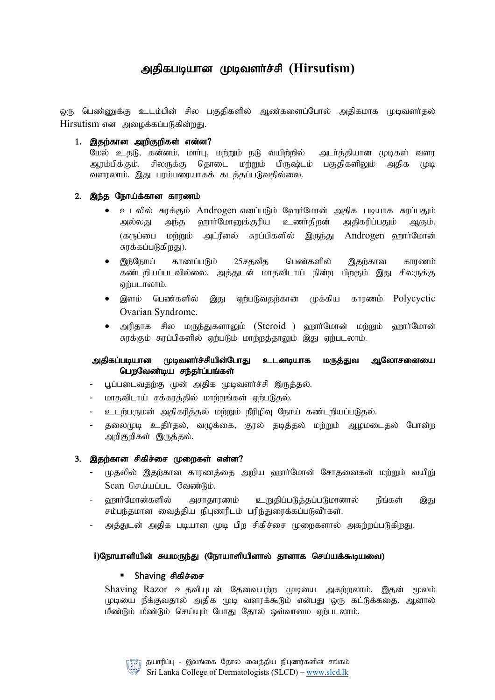# அதிகபடியான முடிவளர்ச்சி (Hirsutism)

் டிருண்ணுக்கு உடம்பின் சில பகுதிகளில் ஆண்களைப்போல் அதிகமாக முடிவளர்தல் Hirsutism என அமைக்கப்படுகின்றது.

## $1.$  இதற்கான அறிகுறிகள் என்ன?

மேல் உதடு, கன்னம், மார்பு, மற்றும் நடு வயிற்றில் அடர்த்தியான முடிகள் வளர ஆரம்பிக்கும். சிலருக்கு தொடை மற்றும் பிருஷ்டம் பகுதிகளிலும் அதிக முடி வளரலாம். இது பரம்பரையாகக் கடத்தப்படுவதில்லை.

# 2. இந்த நோய்க்கான காரணம்

- உடலில் சுரக்கும் Androgen எனப்படும் ஹேர்மோன் அதிக படியாக சுரப்பதும் அல்லது அந்த ஹார்மோனுக்குரிய உணர்திறன் அதிகரிப்பதும் ஆகும். (கருப்பை மற்றும் அட்ரீனல் சுரப்பிகளில் இருந்து Androgen ஹார்மோன் சுரக்கப்படுகிறது).
- இந்நோய் காணப்படும் 25சகவீக பெண்களில் இகற்கான காரணம் கண்டறியப்படவில்லை. அத்துடன் மாதவிடாய் நின்ற பிறகும் இது சிலருக்கு ஏற்படாலாம்.
- இளம் பெண்களில் இது ஏற்படுவதற்கான முக்கிய காரணம் Polycyctic Ovarian Syndrome.
- அரிதாக சில மருந்துகளாலும் (Steroid ) ஹார்மோன் மற்றும் ஹார்மோன் சுரக்கும் சுரப்பிகளில் ஏற்படும் மாற்றத்தாலும் இது ஏற்படலாம்.

# அதிகப்படியான முடிவளர்ச்சியின்போது உடனடியாக மருத்துவ ஆலோசனையை பெறவேண்டிய சந்தர்ப்பங்கள்

- பூப்படைவதற்கு முன் அதிக முடிவளர்ச்சி இருத்தல்.
- மாதவிடாய் சக்கரத்தில் மாற்றங்கள் ஏற்படுதல்.
- உடற்பருமன் அதிகரித்தல் மற்றும் நீரிழிவு நோய் கண்டறியப்படுதல்.
- தலைமுடி உதிர்தல், வழுக்கை, குரல் தடித்தல் மற்றும் ஆழமடைதல் போன்ற அறிகுறிகள் இருத்தல்.

# 3. இதற்கான சிகிச்சை முறைகள் என்ன?

- முதலில் இதற்கான காரணத்தை அறிய ஹார்மோன் சோதனைகள் மற்றும் வயிறு் Scan செய்யப்பட வேண்டும்.
- ஹாா்மோன்களில் அசாதாரணம் உறுதிப்படுத்தப்படுமானால் நீங்கள் இது சம்பந்தமான வைத்திய நிபுணரிடம் பரிந்துரைக்கப்படுவீா்கள்.
- அக்குடன் அதிக புடியான முடி பிற சிகிச்சை முறைகளால் அகற்றப்படுகிறது.

#### i)நோயாளியின் சுயமருந்து (நோயாளியினால் தானாக செய்யக்கூடியவை)

#### Shaving சிகிச்சை

Shaving Razor உதவியுடன் தேவையற்ற முடியை அகற்றலாம். இதன் மூலம் முடியை நீக்குவதால் அதிக முடி வளரக்கூடும் என்பது ஒரு கட்டுக்கதை. ஆனால் மீண்டும் மீண்டும் செய்யும் போது தோல் ஒவ்வாமை ஏற்படலாம்.

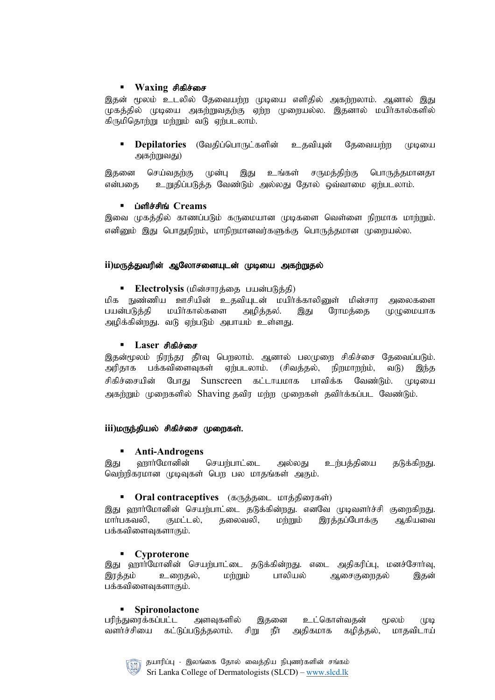# **Waxing சிகிச்சை**

இதன் மூலம் உடலில் தேவையற்ற முடியை எளிதில் அகற்றலாம். ஆனால் இது முகத்தில் முடியை அகற்றுவதற்கு ஏற்ற முறையல்ல. இதனால் மயிர்கால்களில் கிருமிதொற்று மற்றும் வடு ஏற்படலாம்.

**Depilatories** (வேதிப்பொருட்களின் உதவியுன் கேவையற்ற முடியை அகற்றுவது)

இதனை செய்வதற்கு முன்பு இது உங்கள் சருமத்திற்கு பொருத்தமானதா என்பதை - உறுதிப்படுத்த வேண்டும் அல்லது தோல் ஒவ்வாமை ஏற்படலாம்.

# **ப்ளிச்சிங் Creams**

இவை முகத்தில் காணப்படும் கருமையான முடிகளை வெள்ளை நிறமாக மாற்றும். எனினும் இது பொதுநிறம், மாநிறமானவர்களுக்கு பொருத்தமான முறையல்ல.

## ii)மருத்துவரின் ஆலோசனையுடன் முடியை அகற்றுதல்

• Electrolysis (மின்சாரத்தை பயன்படுத்தி)

மிக நுண்ணிய ஊசியின் உதவியுடன் மயிர்க்காலினுள் மின்சார அலைகளை பயன்படுத்தி மயிர்கால்களை அழித்தல. இது ரோமத்தை முழுமையாக அழிக்கின்றது. வடு ஏற்படும் அபாயம் உள்ளது.

## ■ Laser சிகிச்சை

இதன்மூலம் நிரந்தர தீர்வு பெறலாம். ஆனால் பலமுறை சிகிச்சை தேவைப்படும். அரிதாக பக்கவிளைவுகள் ஏற்படலாம். (சிவத்தல், நிறமாறற்ம், வடு) இந்த சிகிச்சையின் போது Sunscreen கட்டாயமாக பாவிக்க வேண்டும். முடியை அகற்றும் முறைகளில் Shaving தவிர மற்ற முறைகள் தவிர்க்கப்பட வேண்டும்.

# iii)மருந்தியல் சிகிச்சை முறைகள்.

# § **Anti-Androgens**

இது வரார்மோனின் செயற்பாட்டை அல்லது உர்பக்கியை கடுக்கிறது. வெற்றிகரமான முடிவுகள் பெற பல மாதங்கள் அகும்.

# • Oral contraceptives (கருத்தடை மாத்திரைகள்)

இது ஹார்மோனின் செயற்பாட்டை தடுக்கின்றது. எனவே முடிவளர்ச்சி குறைகிறது. மாா்பகவலி, குமட்டல், தலைவலி, மற்றும் இரத்தப்போக்கு ஆகியவை பக்கவிளைவுகளாகும்.

#### § **Cyproterone**

இது ஹார்மோனின் செயற்பாட்டை தடுக்கின்றது. எடை அதிகரிப்பு, மனச்சோர்வு, இரத்தம் உறைதல், மற்றும் பாலியல் ஆசைகுறைதல் இதன் பக்கவிளைவுகளாகும்.

#### § **Spironolactone**

பரிந்துரைக்கப்பட்ட அளவுகளில் இதனை உட்கொள்வதன் மூலம் முடி வளர்ச்சியை கட்டுப்படுத்தலாம். சிறு நீர் அதிகமாக கழித்தல், மாதவிடாய்